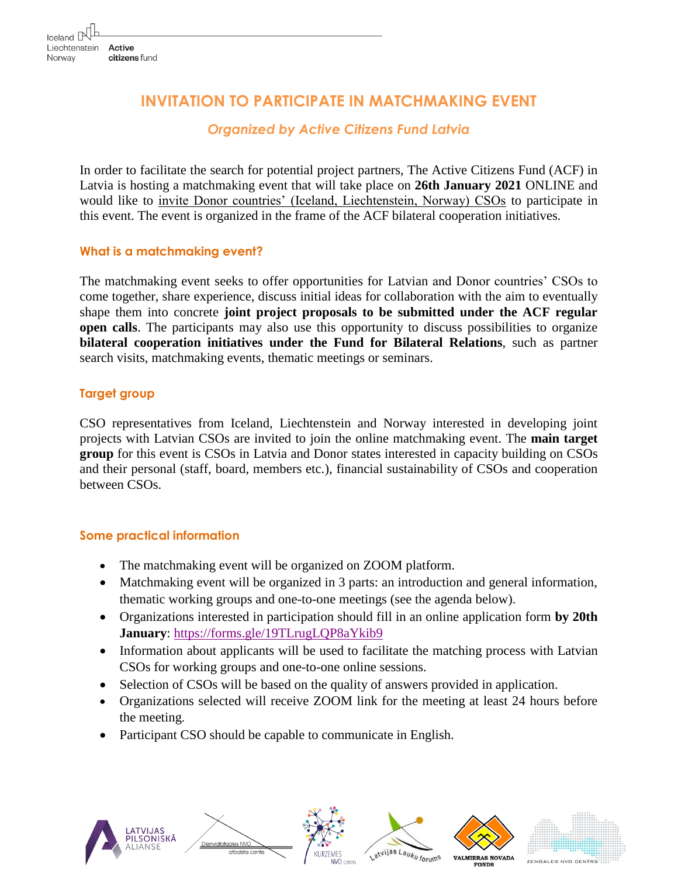# **INVITATION TO PARTICIPATE IN MATCHMAKING EVENT**

## *Organized by Active Citizens Fund Latvia*

In order to facilitate the search for potential project partners, The Active Citizens Fund (ACF) in Latvia is hosting a matchmaking event that will take place on **26th January 2021** ONLINE and would like to invite Donor countries' (Iceland, Liechtenstein, Norway) CSOs to participate in this event. The event is organized in the frame of the ACF bilateral cooperation initiatives.

### **What is a matchmaking event?**

The matchmaking event seeks to offer opportunities for Latvian and Donor countries' CSOs to come together, share experience, discuss initial ideas for collaboration with the aim to eventually shape them into concrete **joint project proposals to be submitted under the ACF regular open calls**. The participants may also use this opportunity to discuss possibilities to organize **bilateral cooperation initiatives under the Fund for Bilateral Relations**, such as partner search visits, matchmaking events, thematic meetings or seminars.

### **Target group**

CSO representatives from Iceland, Liechtenstein and Norway interested in developing joint projects with Latvian CSOs are invited to join the online matchmaking event. The **main target group** for this event is CSOs in Latvia and Donor states interested in capacity building on CSOs and their personal (staff, board, members etc.), financial sustainability of CSOs and cooperation between CSOs.

#### **Some practical information**

- The matchmaking event will be organized on ZOOM platform.
- Matchmaking event will be organized in 3 parts: an introduction and general information, thematic working groups and one-to-one meetings (see the agenda below).
- Organizations interested in participation should fill in an online application form **by 20th January**:<https://forms.gle/19TLrugLQP8aYkib9>
- Information about applicants will be used to facilitate the matching process with Latvian CSOs for working groups and one-to-one online sessions.
- Selection of CSOs will be based on the quality of answers provided in application.
- Organizations selected will receive ZOOM link for the meeting at least 24 hours before the meeting.
- Participant CSO should be capable to communicate in English.